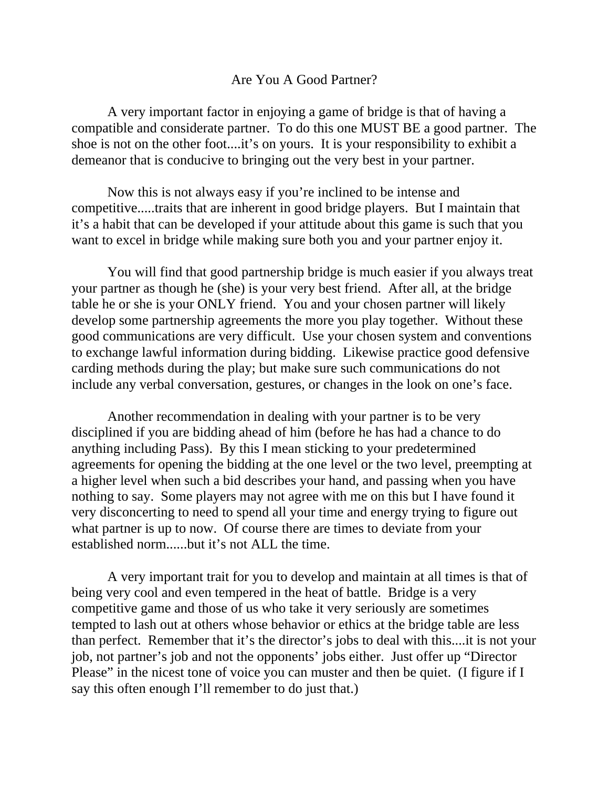## Are You A Good Partner?

 A very important factor in enjoying a game of bridge is that of having a compatible and considerate partner. To do this one MUST BE a good partner. The shoe is not on the other foot....it's on yours. It is your responsibility to exhibit a demeanor that is conducive to bringing out the very best in your partner.

Now this is not always easy if you're inclined to be intense and competitive.....traits that are inherent in good bridge players. But I maintain that it's a habit that can be developed if your attitude about this game is such that you want to excel in bridge while making sure both you and your partner enjoy it.

You will find that good partnership bridge is much easier if you always treat your partner as though he (she) is your very best friend. After all, at the bridge table he or she is your ONLY friend. You and your chosen partner will likely develop some partnership agreements the more you play together. Without these good communications are very difficult. Use your chosen system and conventions to exchange lawful information during bidding. Likewise practice good defensive carding methods during the play; but make sure such communications do not include any verbal conversation, gestures, or changes in the look on one's face.

Another recommendation in dealing with your partner is to be very disciplined if you are bidding ahead of him (before he has had a chance to do anything including Pass). By this I mean sticking to your predetermined agreements for opening the bidding at the one level or the two level, preempting at a higher level when such a bid describes your hand, and passing when you have nothing to say. Some players may not agree with me on this but I have found it very disconcerting to need to spend all your time and energy trying to figure out what partner is up to now. Of course there are times to deviate from your established norm......but it's not ALL the time.

A very important trait for you to develop and maintain at all times is that of being very cool and even tempered in the heat of battle. Bridge is a very competitive game and those of us who take it very seriously are sometimes tempted to lash out at others whose behavior or ethics at the bridge table are less than perfect. Remember that it's the director's jobs to deal with this....it is not your job, not partner's job and not the opponents' jobs either. Just offer up "Director Please" in the nicest tone of voice you can muster and then be quiet. (I figure if I say this often enough I'll remember to do just that.)